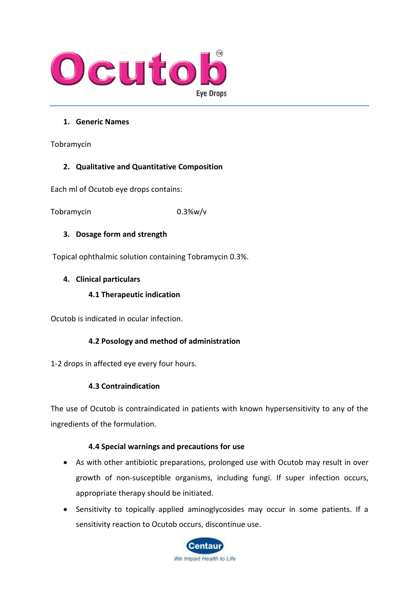

### **1. Generic Names**

Tobramycin

# **2. Qualitative and Quantitative Composition**

Each ml of Ocutob eye drops contains:

Tobramycin 0.3%w/v

# **3. Dosage form and strength**

Topical ophthalmic solution containing Tobramycin 0.3%.

#### **4. Clinical particulars**

#### **4.1 Therapeutic indication**

Ocutob is indicated in ocular infection.

# **4.2 Posology and method of administration**

1-2 drops in affected eye every four hours.

# **4.3 Contraindication**

The use of Ocutob is contraindicated in patients with known hypersensitivity to any of the ingredients of the formulation.

#### **4.4 Special warnings and precautions for use**

- As with other antibiotic preparations, prolonged use with Ocutob may result in over growth of non-susceptible organisms, including fungi. If super infection occurs, appropriate therapy should be initiated.
- Sensitivity to topically applied aminoglycosides may occur in some patients. If a sensitivity reaction to Ocutob occurs, discontinue use.

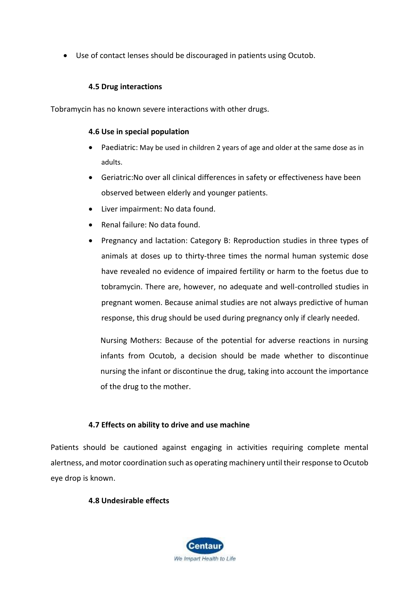• Use of contact lenses should be discouraged in patients using Ocutob.

# **4.5 Drug interactions**

Tobramycin has no known severe interactions with other drugs.

#### **4.6 Use in special population**

- Paediatric: May be used in children 2 years of age and older at the same dose as in adults.
- Geriatric:No over all clinical differences in safety or effectiveness have been observed between elderly and younger patients.
- Liver impairment: No data found.
- Renal failure: No data found.
- Pregnancy and lactation: Category B: Reproduction studies in three types of animals at doses up to thirty-three times the normal human systemic dose have revealed no evidence of impaired fertility or harm to the foetus due to tobramycin. There are, however, no adequate and well-controlled studies in pregnant women. Because animal studies are not always predictive of human response, this drug should be used during pregnancy only if clearly needed.

Nursing Mothers: Because of the potential for adverse reactions in nursing infants from Ocutob, a decision should be made whether to discontinue nursing the infant or discontinue the drug, taking into account the importance of the drug to the mother.

# **4.7 Effects on ability to drive and use machine**

Patients should be cautioned against engaging in activities requiring complete mental alertness, and motor coordination such as operating machinery until their response to Ocutob eye drop is known.

# **4.8 Undesirable effects**

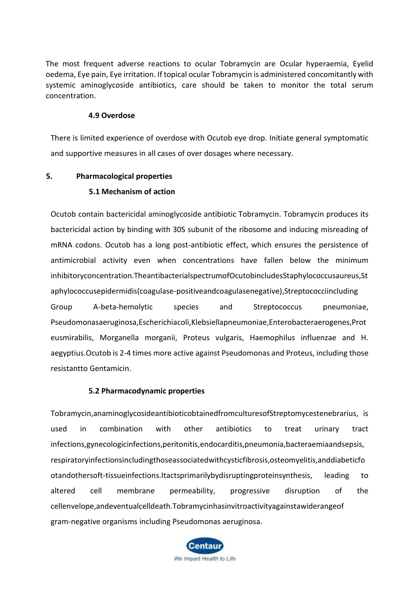The most frequent adverse reactions to ocular Tobramycin are Ocular hyperaemia, Eyelid oedema, Eye pain, Eye irritation. If topical ocular Tobramycin is administered concomitantly with systemic aminoglycoside antibiotics, care should be taken to monitor the total serum concentration.

#### **4.9 Overdose**

There is limited experience of overdose with Ocutob eye drop. Initiate general symptomatic and supportive measures in all cases of over dosages where necessary.

#### **5. Pharmacological properties**

#### **5.1 Mechanism of action**

Ocutob contain bactericidal aminoglycoside antibiotic Tobramycin. Tobramycin produces its bactericidal action by binding with 30S subunit of the ribosome and inducing misreading of mRNA codons. Ocutob has a long post-antibiotic effect, which ensures the persistence of antimicrobial activity even when concentrations have fallen below the minimum inhibitoryconcentration.TheantibacterialspectrumofOcutobincludesStaphylococcusaureus,St aphylococcusepidermidis(coagulase-positiveandcoagulasenegative),Streptococciincluding Group A-beta-hemolytic species and Streptococcus pneumoniae, Pseudomonasaeruginosa,Escherichiacoli,Klebsiellapneumoniae,Enterobacteraerogenes,Prot eusmirabilis, Morganella morganii, Proteus vulgaris, Haemophilus influenzae and H. aegyptius.Ocutob is 2-4 times more active against Pseudomonas and Proteus, including those resistantto Gentamicin.

#### **5.2 Pharmacodynamic properties**

Tobramycin,anaminoglycosideantibioticobtainedfromculturesofStreptomycestenebrarius, is used in combination with other antibiotics to treat urinary tract infections,gynecologicinfections,peritonitis,endocarditis,pneumonia,bacteraemiaandsepsis, respiratoryinfectionsincludingthoseassociatedwithcysticfibrosis,osteomyelitis,anddiabeticfo otandothersoft-tissueinfections.Itactsprimarilybydisruptingproteinsynthesis, leading to altered cell membrane permeability, progressive disruption of the cellenvelope,andeventualcelldeath.Tobramycinhasinvitroactivityagainstawiderangeof gram-negative organisms including Pseudomonas aeruginosa.

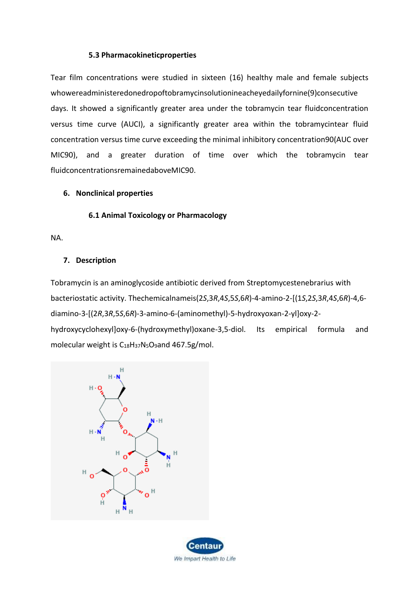#### **5.3 Pharmacokineticproperties**

Tear film concentrations were studied in sixteen (16) healthy male and female subjects whowereadministeredonedropoftobramycinsolutionineacheyedailyfornine(9)consecutive days. It showed a significantly greater area under the tobramycin tear fluidconcentration versus time curve (AUCI), a significantly greater area within the tobramycintear fluid concentration versus time curve exceeding the minimal inhibitory concentration90(AUC over MIC90), and a greater duration of time over which the tobramycin tear fluidconcentrationsremainedaboveMIC90.

#### **6. Nonclinical properties**

#### **6.1 Animal Toxicology or Pharmacology**

NA.

#### **7. Description**

Tobramycin is an aminoglycoside antibiotic derived from Streptomycestenebrarius with bacteriostatic activity. Thechemicalnameis(2*S*,3*R*,4*S*,5*S*,6*R*)-4-amino-2-[(1*S*,2*S*,3*R*,4*S*,6*R*)-4,6 diamino-3-[(2*R*,3*R*,5*S*,6*R*)-3-amino-6-(aminomethyl)-5-hydroxyoxan-2-yl]oxy-2 hydroxycyclohexyl]oxy-6-(hydroxymethyl)oxane-3,5-diol. Its empirical formula and molecular weight is  $C_{18}H_{37}N_5O_9$  and 467.5g/mol.



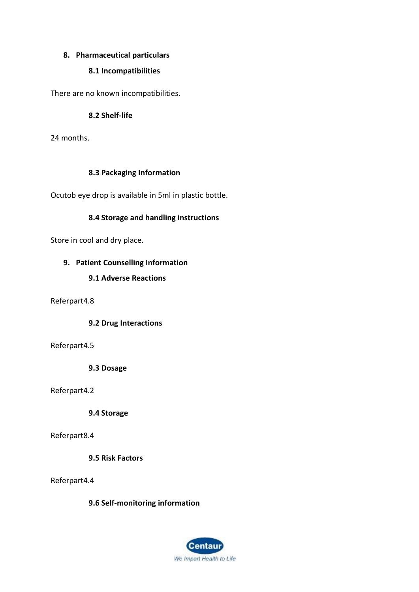### **8. Pharmaceutical particulars**

### **8.1 Incompatibilities**

There are no known incompatibilities.

#### **8.2 Shelf-life**

24 months.

#### **8.3 Packaging Information**

Ocutob eye drop is available in 5ml in plastic bottle.

#### **8.4 Storage and handling instructions**

Store in cool and dry place.

#### **9. Patient Counselling Information**

#### **9.1 Adverse Reactions**

Referpart4.8

#### **9.2 Drug Interactions**

#### Referpart4.5

**9.3 Dosage**

#### Referpart4.2

**9.4 Storage**

#### Referpart8.4

**9.5 Risk Factors**

#### Referpart4.4

# **9.6 Self-monitoring information**